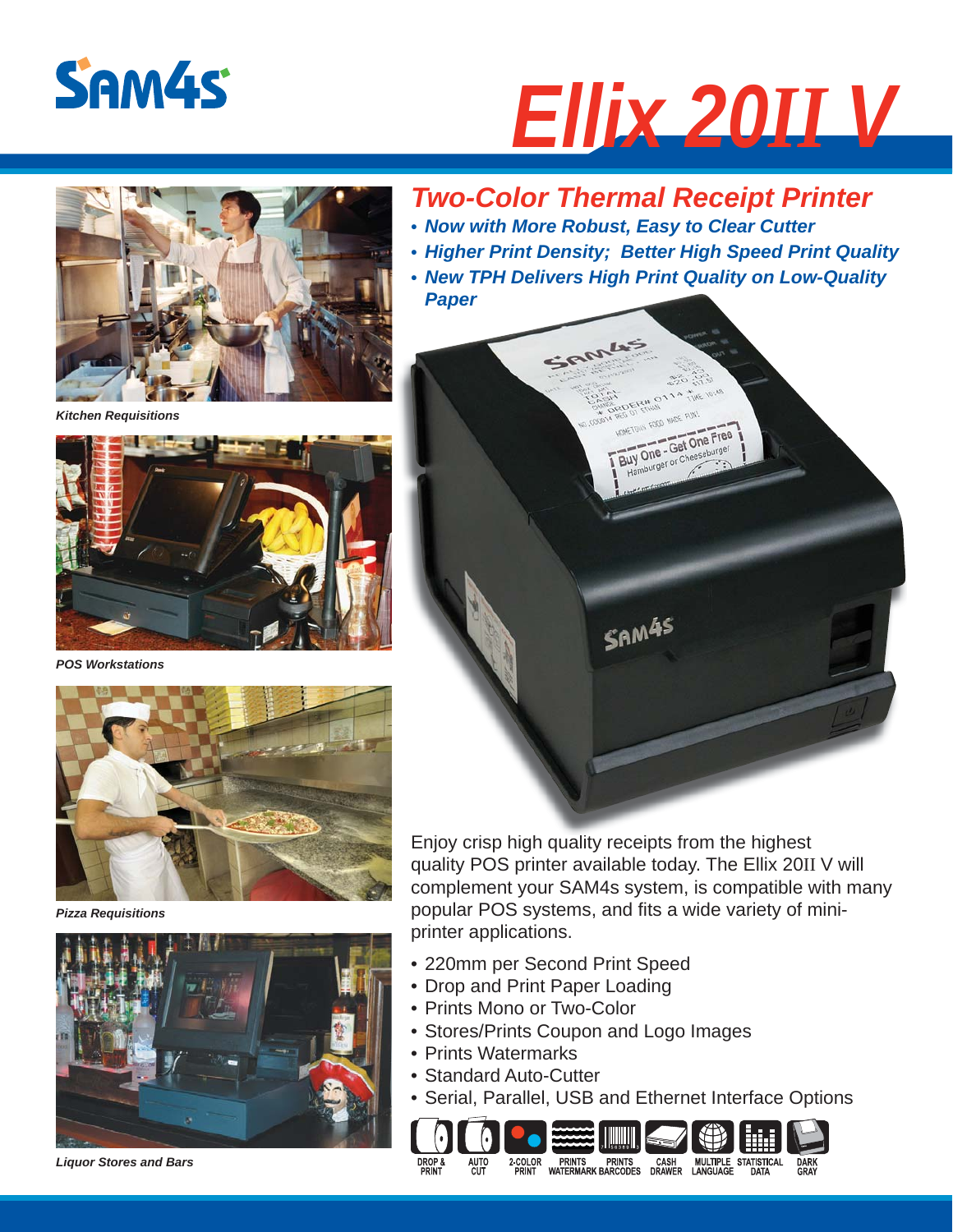

# *Ellix 20II V*



*Kitchen Requisitions*



*POS Workstations*



*Pizza Requisitions*



*Liquor Stores and Bars*

## *Two-Color Thermal Receipt Printer*

- *Now with More Robust, Easy to Clear Cutter*
- *Higher Print Density; Better High Speed Print Quality*
- *New TPH Delivers High Print Quality on Low-Quality Paper*



Enjoy crisp high quality receipts from the highest quality POS printer available today. The Ellix 20II V will complement your SAM4s system, is compatible with many popular POS systems, and fits a wide variety of miniprinter applications.

- 220mm per Second Print Speed
- Drop and Print Paper Loading
- Prints Mono or Two-Color
- Stores/Prints Coupon and Logo Images
- Prints Watermarks
- Standard Auto-Cutter
- Serial, Parallel, USB and Ethernet Interface Options